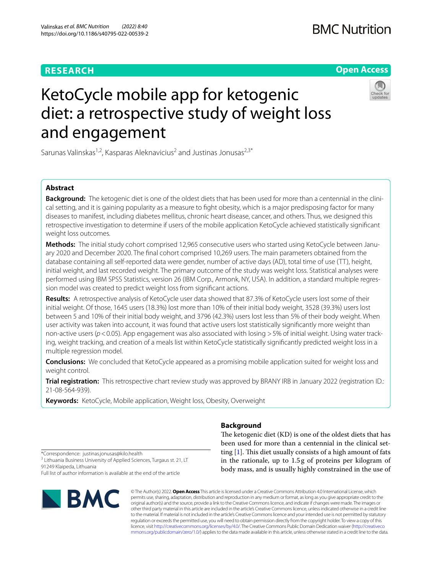## **RESEARCH**

## **BMC Nutrition**

## **Open Access**



# KetoCycle mobile app for ketogenic diet: a retrospective study of weight loss and engagement

Sarunas Valinskas<sup>1,2</sup>, Kasparas Aleknavicius<sup>2</sup> and Justinas Jonusas<sup>2,3\*</sup>

## **Abstract**

**Background:** The ketogenic diet is one of the oldest diets that has been used for more than a centennial in the clinical setting, and it is gaining popularity as a measure to fight obesity, which is a major predisposing factor for many diseases to manifest, including diabetes mellitus, chronic heart disease, cancer, and others. Thus, we designed this retrospective investigation to determine if users of the mobile application KetoCycle achieved statistically signifcant weight loss outcomes.

**Methods:** The initial study cohort comprised 12,965 consecutive users who started using KetoCycle between January 2020 and December 2020. The fnal cohort comprised 10,269 users. The main parameters obtained from the database containing all self-reported data were gender, number of active days (AD), total time of use (TT), height, initial weight, and last recorded weight. The primary outcome of the study was weight loss. Statistical analyses were performed using IBM SPSS Statistics, version 26 (IBM Corp., Armonk, NY, USA). In addition, a standard multiple regression model was created to predict weight loss from signifcant actions.

**Results:** A retrospective analysis of KetoCycle user data showed that 87.3% of KetoCycle users lost some of their initial weight. Of those, 1645 users (18.3%) lost more than 10% of their initial body weight, 3528 (39.3%) users lost between 5 and 10% of their initial body weight, and 3796 (42.3%) users lost less than 5% of their body weight. When user activity was taken into account, it was found that active users lost statistically signifcantly more weight than non-active users (*p*<0.05). App engagement was also associated with losing >5% of initial weight. Using water tracking, weight tracking, and creation of a meals list within KetoCycle statistically signifcantly predicted weight loss in a multiple regression model.

**Conclusions:** We concluded that KetoCycle appeared as a promising mobile application suited for weight loss and weight control.

**Trial registration:** This retrospective chart review study was approved by BRANY IRB in January 2022 (registration ID.: 21-08-564-939).

**Keywords:** KetoCycle, Mobile application, Weight loss, Obesity, Overweight

## **Background**

The ketogenic diet (KD) is one of the oldest diets that has been used for more than a centennial in the clinical setting  $[1]$  $[1]$ . This diet usually consists of a high amount of fats in the rationale, up to 1.5g of proteins per kilogram of body mass, and is usually highly constrained in the use of

\*Correspondence: justinas.jonusas@kilo.health <sup>3</sup> Lithuania Business University of Applied Sciences, Turgaus st. 21, LT 91249 Klaipeda, Lithuania Full list of author information is available at the end of the article



© The Author(s) 2022. **Open Access** This article is licensed under a Creative Commons Attribution 4.0 International License, which permits use, sharing, adaptation, distribution and reproduction in any medium or format, as long as you give appropriate credit to the original author(s) and the source, provide a link to the Creative Commons licence, and indicate if changes were made. The images or other third party material in this article are included in the article's Creative Commons licence, unless indicated otherwise in a credit line to the material. If material is not included in the article's Creative Commons licence and your intended use is not permitted by statutory regulation or exceeds the permitted use, you will need to obtain permission directly from the copyright holder. To view a copy of this licence, visit [http://creativecommons.org/licenses/by/4.0/.](http://creativecommons.org/licenses/by/4.0/) The Creative Commons Public Domain Dedication waiver ([http://creativeco](http://creativecommons.org/publicdomain/zero/1.0/) [mmons.org/publicdomain/zero/1.0/](http://creativecommons.org/publicdomain/zero/1.0/)) applies to the data made available in this article, unless otherwise stated in a credit line to the data.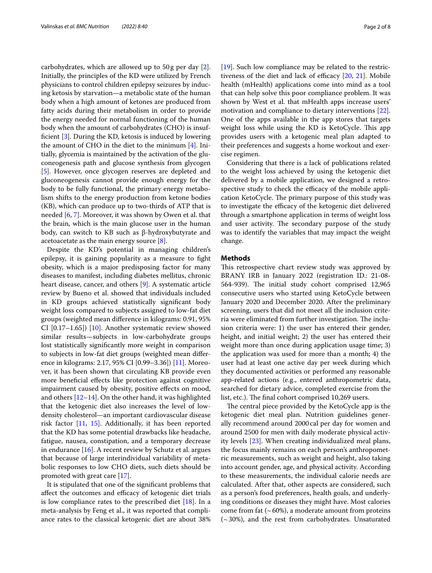carbohydrates, which are allowed up to 50g per day [\[2](#page-6-1)]. Initially, the principles of the KD were utilized by French physicians to control children epilepsy seizures by inducing ketosis by starvation—a metabolic state of the human body when a high amount of ketones are produced from fatty acids during their metabolism in order to provide the energy needed for normal functioning of the human body when the amount of carbohydrates (CHO) is insuffcient [\[3](#page-6-2)]. During the KD, ketosis is induced by lowering the amount of CHO in the diet to the minimum [\[4](#page-6-3)]. Initially, glycemia is maintained by the activation of the gluconeogenesis path and glucose synthesis from glycogen [[5\]](#page-6-4). However, once glycogen reserves are depleted and gluconeogenesis cannot provide enough energy for the body to be fully functional, the primary energy metabolism shifts to the energy production from ketone bodies (KB), which can produce up to two-thirds of ATP that is needed [\[6,](#page-6-5) [7](#page-6-6)]. Moreover, it was shown by Owen et al. that the brain, which is the main glucose user in the human body, can switch to KB such as β-hydroxybutyrate and acetoacetate as the main energy source [[8](#page-6-7)].

Despite the KD's potential in managing children's epilepsy, it is gaining popularity as a measure to fght obesity, which is a major predisposing factor for many diseases to manifest, including diabetes mellitus, chronic heart disease, cancer, and others [\[9](#page-6-8)]. A systematic article review by Bueno et al. showed that individuals included in KD groups achieved statistically signifcant body weight loss compared to subjects assigned to low-fat diet groups (weighted mean diference in kilograms: 0.91, 95% CI [0.17–1.65]) [\[10](#page-6-9)]. Another systematic review showed similar results—subjects in low-carbohydrate groups lost statistically signifcantly more weight in comparison to subjects in low-fat diet groups (weighted mean diference in kilograms: 2.17, 95% CI [0.99–3.36]) [[11](#page-6-10)]. Moreover, it has been shown that circulating KB provide even more beneficial effects like protection against cognitive impairment caused by obesity, positive efects on mood, and others  $[12-14]$  $[12-14]$ . On the other hand, it was highlighted that the ketogenic diet also increases the level of lowdensity cholesterol—an important cardiovascular disease risk factor [\[11](#page-6-10), [15\]](#page-6-13). Additionally, it has been reported that the KD has some potential drawbacks like headache, fatigue, nausea, constipation, and a temporary decrease in endurance [[16](#page-6-14)]. A recent review by Schutz et al. argues that because of large interindividual variability of metabolic responses to low CHO diets, such diets should be promoted with great care [[17\]](#page-7-0).

It is stipulated that one of the signifcant problems that affect the outcomes and efficacy of ketogenic diet trials is low compliance rates to the prescribed diet  $[18]$  $[18]$ . In a meta-analysis by Feng et al., it was reported that compliance rates to the classical ketogenic diet are about 38% [[19\]](#page-7-2). Such low compliance may be related to the restrictiveness of the diet and lack of efficacy  $[20, 21]$  $[20, 21]$  $[20, 21]$ . Mobile health (mHealth) applications come into mind as a tool that can help solve this poor compliance problem. It was shown by West et al. that mHealth apps increase users' motivation and compliance to dietary interventions [\[22](#page-7-5)]. One of the apps available in the app stores that targets weight loss while using the KD is KetoCycle. This app provides users with a ketogenic meal plan adapted to their preferences and suggests a home workout and exercise regimen.

Considering that there is a lack of publications related to the weight loss achieved by using the ketogenic diet delivered by a mobile application, we designed a retrospective study to check the efficacy of the mobile application KetoCycle. The primary purpose of this study was to investigate the efficacy of the ketogenic diet delivered through a smartphone application in terms of weight loss and user activity. The secondary purpose of the study was to identify the variables that may impact the weight change.

#### **Methods**

This retrospective chart review study was approved by BRANY IRB in January 2022 (registration ID.: 21-08- 564-939). The initial study cohort comprised 12,965 consecutive users who started using KetoCycle between January 2020 and December 2020. After the preliminary screening, users that did not meet all the inclusion criteria were eliminated from further investigation. The inclusion criteria were: 1) the user has entered their gender, height, and initial weight; 2) the user has entered their weight more than once during application usage time; 3) the application was used for more than a month; 4) the user had at least one active day per week during which they documented activities or performed any reasonable app-related actions (e.g., entered anthropometric data, searched for dietary advice, completed exercise from the list, etc.). The final cohort comprised 10,269 users.

The central piece provided by the KetoCycle app is the ketogenic diet meal plan. Nutrition guidelines generally recommend around 2000cal per day for women and around 2500 for men with daily moderate physical activity levels [\[23](#page-7-6)]. When creating individualized meal plans, the focus mainly remains on each person's anthropometric measurements, such as weight and height, also taking into account gender, age, and physical activity. According to these measurements, the individual calorie needs are calculated. After that, other aspects are considered, such as a person's food preferences, health goals, and underlying conditions or diseases they might have. Most calories come from fat  $({\sim}60\%)$ , a moderate amount from proteins  $(\sim 30\%)$ , and the rest from carbohydrates. Unsaturated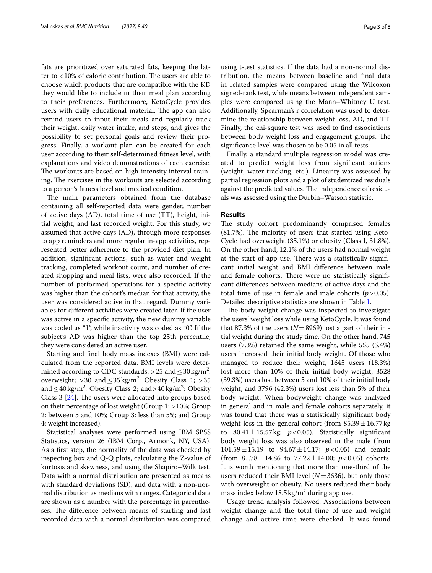fats are prioritized over saturated fats, keeping the latter to  $<$  10% of caloric contribution. The users are able to choose which products that are compatible with the KD they would like to include in their meal plan according to their preferences. Furthermore, KetoCycle provides users with daily educational material. The app can also remind users to input their meals and regularly track their weight, daily water intake, and steps, and gives the possibility to set personal goals and review their progress. Finally, a workout plan can be created for each user according to their self-determined ftness level, with explanations and video demonstrations of each exercise. The workouts are based on high-intensity interval training. The rxercises in the workouts are selected according to a person's ftness level and medical condition.

The main parameters obtained from the database containing all self-reported data were gender, number of active days (AD), total time of use (TT), height, initial weight, and last recorded weight. For this study, we assumed that active days (AD), through more responses to app reminders and more regular in-app activities, represented better adherence to the provided diet plan. In addition, signifcant actions, such as water and weight tracking, completed workout count, and number of created shopping and meal lists, were also recorded. If the number of performed operations for a specifc activity was higher than the cohort's median for that activity, the user was considered active in that regard. Dummy variables for diferent activities were created later. If the user was active in a specifc activity, the new dummy variable was coded as "1", while inactivity was coded as "0". If the subject's AD was higher than the top 25th percentile, they were considered an active user.

Starting and fnal body mass indexes (BMI) were calculated from the reported data. BMI levels were determined according to CDC standards: >25 and  $\leq$  30 kg/m<sup>2</sup>: overweight; > 30 and  $\leq$  35 kg/m<sup>2</sup>: Obesity Class 1; > 35 and  $\leq 40 \text{ kg/m}^2$ : Obesity Class 2; and >  $40 \text{ kg/m}^2$ : Obesity Class  $3$  [ $24$ ]. The users were allocated into groups based on their percentage of lost weight (Group  $1:$  > 10%; Group 2: between 5 and 10%; Group 3: less than 5%; and Group 4: weight increased).

Statistical analyses were performed using IBM SPSS Statistics, version 26 (IBM Corp., Armonk, NY, USA). As a frst step, the normality of the data was checked by inspecting box and Q-Q plots, calculating the Z-value of kurtosis and skewness, and using the Shapiro–Wilk test. Data with a normal distribution are presented as means with standard deviations (SD), and data with a non-normal distribution as medians with ranges. Categorical data are shown as a number with the percentage in parentheses. The difference between means of starting and last recorded data with a normal distribution was compared using t-test statistics. If the data had a non-normal distribution, the means between baseline and fnal data in related samples were compared using the Wilcoxon signed-rank test, while means between independent samples were compared using the Mann–Whitney U test. Additionally, Spearman's r correlation was used to determine the relationship between weight loss, AD, and TT. Finally, the chi-square test was used to fnd associations between body weight loss and engagement groups. The signifcance level was chosen to be 0.05 in all tests.

Finally, a standard multiple regression model was created to predict weight loss from signifcant actions (weight, water tracking, etc.). Linearity was assessed by partial regression plots and a plot of studentized residuals against the predicted values. The independence of residuals was assessed using the Durbin–Watson statistic.

#### **Results**

The study cohort predominantly comprised females  $(81.7%)$ . The majority of users that started using Keto-Cycle had overweight (35.1%) or obesity (Class I, 31.8%). On the other hand, 12.1% of the users had normal weight at the start of app use. There was a statistically significant initial weight and BMI diference between male and female cohorts. There were no statistically significant diferences between medians of active days and the total time of use in female and male cohorts  $(p > 0.05)$ . Detailed descriptive statistics are shown in Table [1](#page-3-0).

The body weight change was inspected to investigate the users' weight loss while using KetoCycle. It was found that 87.3% of the users  $(N=8969)$  lost a part of their initial weight during the study time. On the other hand, 745 users (7.3%) retained the same weight, while 555 (5.4%) users increased their initial body weight. Of those who managed to reduce their weight, 1645 users (18.3%) lost more than 10% of their initial body weight, 3528 (39.3%) users lost between 5 and 10% of their initial body weight, and 3796 (42.3%) users lost less than 5% of their body weight. When bodyweight change was analyzed in general and in male and female cohorts separately, it was found that there was a statistically signifcant body weight loss in the general cohort (from  $85.39 \pm 16.77$  kg to  $80.41 \pm 15.57$  kg;  $p < 0.05$ ). Statistically significant body weight loss was also observed in the male (from 101.59±15.19 to 94.67±14.17; *p*<0.05) and female (from  $81.78 \pm 14.86$  to  $77.22 \pm 14.00$ ;  $p < 0.05$ ) cohorts. It is worth mentioning that more than one-third of the users reduced their BMI level (*N*=3636), but only those with overweight or obesity. No users reduced their body mass index below  $18.5 \,\mathrm{kg/m^2}$  during app use.

Usage trend analysis followed. Associations between weight change and the total time of use and weight change and active time were checked. It was found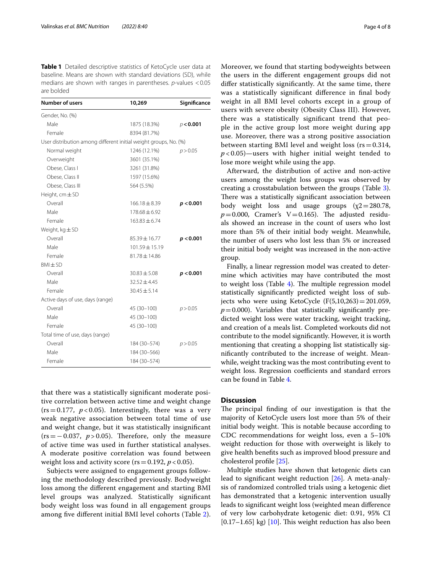<span id="page-3-0"></span>**Table 1** Detailed descriptive statistics of KetoCycle user data at baseline. Means are shown with standard deviations (SD), while medians are shown with ranges in parentheses. *p*-values <0.05 are bolded

| <b>Number of users</b>                                           | 10,269             | Significance |
|------------------------------------------------------------------|--------------------|--------------|
| Gender, No. (%)                                                  |                    |              |
| Male                                                             | 1875 (18.3%)       | p < 0.001    |
| Female                                                           | 8394 (81.7%)       |              |
| User distribution among different initial weight groups, No. (%) |                    |              |
| Normal weight                                                    | 1246 (12.1%)       | p > 0.05     |
| Overweight                                                       | 3601 (35.1%)       |              |
| Obese, Class I                                                   | 3261 (31.8%)       |              |
| Obese, Class II                                                  | 1597 (15.6%)       |              |
| Obese, Class III                                                 | 564 (5.5%)         |              |
| Height, $cm \pm SD$                                              |                    |              |
| Overall                                                          | $166.18 \pm 8.39$  | p < 0.001    |
| Male                                                             | $178.68 \pm 6.92$  |              |
| Female                                                           | $163.83 \pm 6.74$  |              |
| Weight, $kg \pm SD$                                              |                    |              |
| Overall                                                          | $85.39 \pm 16.77$  | p < 0.001    |
| Male                                                             | $101.59 \pm 15.19$ |              |
| Female                                                           | $81.78 \pm 14.86$  |              |
| $BMH$ SD                                                         |                    |              |
| Overall                                                          | $30.83 \pm 5.08$   | p < 0.001    |
| Male                                                             | $32.52 \pm 4.45$   |              |
| Female                                                           | $30.45 \pm 5.14$   |              |
| Active days of use, days (range)                                 |                    |              |
| Overall                                                          | 45 (30-100)        | p > 0.05     |
| Male                                                             | 45 (30-100)        |              |
| Female                                                           | 45 (30-100)        |              |
| Total time of use, days (range)                                  |                    |              |
| Overall                                                          | 184 (30-574)       | p > 0.05     |
| Male                                                             | 184 (30-566)       |              |
| Female                                                           | 184 (30-574)       |              |

that there was a statistically signifcant moderate positive correlation between active time and weight change  $(rs=0.177, p<0.05)$ . Interestingly, there was a very weak negative association between total time of use and weight change, but it was statistically insignifcant  $(rs = -0.037, p > 0.05)$ . Therefore, only the measure of active time was used in further statistical analyses. A moderate positive correlation was found between weight loss and activity score ( $rs = 0.192$ ,  $p < 0.05$ ).

Subjects were assigned to engagement groups following the methodology described previously. Bodyweight loss among the diferent engagement and starting BMI level groups was analyzed. Statistically signifcant body weight loss was found in all engagement groups among fve diferent initial BMI level cohorts (Table [2\)](#page-4-0). Moreover, we found that starting bodyweights between the users in the diferent engagement groups did not difer statistically signifcantly. At the same time, there was a statistically signifcant diference in fnal body weight in all BMI level cohorts except in a group of users with severe obesity (Obesity Class III). However, there was a statistically signifcant trend that people in the active group lost more weight during app use. Moreover, there was a strong positive association between starting BMI level and weight loss ( $rs = 0.314$ ,  $p$  < 0.05)—users with higher initial weight tended to lose more weight while using the app.

Afterward, the distribution of active and non-active users among the weight loss groups was observed by creating a crosstabulation between the groups (Table [3](#page-4-1)). There was a statistically significant association between body weight loss and usage groups  $(\chi^2=280.78,$  $p=0.000$ , Cramer's V=0.165). The adjusted residuals showed an increase in the count of users who lost more than 5% of their initial body weight. Meanwhile, the number of users who lost less than 5% or increased their initial body weight was increased in the non-active group.

Finally, a linear regression model was created to determine which activities may have contributed the most to weight loss (Table  $4$ ). The multiple regression model statistically signifcantly predicted weight loss of subjects who were using KetoCycle  $(F(5,10,263)=201.059)$ ,  $p=0.000$ ). Variables that statistically significantly predicted weight loss were water tracking, weight tracking, and creation of a meals list. Completed workouts did not contribute to the model signifcantly. However, it is worth mentioning that creating a shopping list statistically signifcantly contributed to the increase of weight. Meanwhile, weight tracking was the most contributing event to weight loss. Regression coefficients and standard errors can be found in Table [4.](#page-4-2)

### **Discussion**

The principal finding of our investigation is that the majority of KetoCycle users lost more than 5% of their initial body weight. This is notable because according to CDC recommendations for weight loss, even a 5–10% weight reduction for those with overweight is likely to give health benefts such as improved blood pressure and cholesterol profle [[25\]](#page-7-8).

Multiple studies have shown that ketogenic diets can lead to signifcant weight reduction [\[26\]](#page-7-9). A meta-analysis of randomized controlled trials using a ketogenic diet has demonstrated that a ketogenic intervention usually leads to signifcant weight loss (weighted mean diference of very low carbohydrate ketogenic diet: 0.91, 95% CI  $[0.17-1.65]$  kg)  $[10]$  $[10]$  $[10]$ . This weight reduction has also been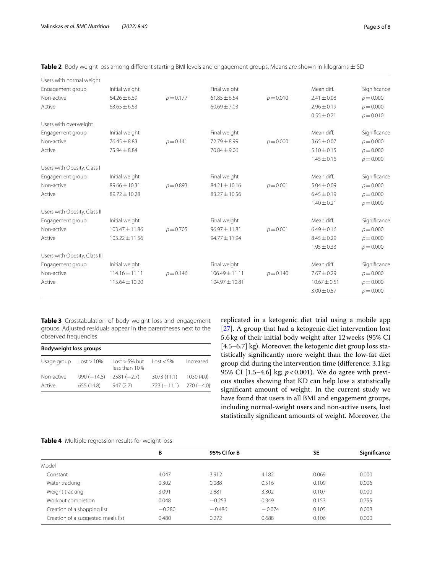| Users with normal weight      |                    |             |                    |             |                  |              |
|-------------------------------|--------------------|-------------|--------------------|-------------|------------------|--------------|
| Engagement group              | Initial weight     |             | Final weight       |             | Mean diff.       | Significance |
| Non-active                    | $64.26 \pm 6.69$   | $p = 0.177$ | $61.85 \pm 6.54$   | $p = 0.010$ | $2.41 \pm 0.08$  | $p = 0.000$  |
| Active                        | $63.65 \pm 6.63$   |             | $60.69 \pm 7.03$   |             | $2.96 \pm 0.19$  | $p = 0.000$  |
|                               |                    |             |                    |             | $0.55 \pm 0.21$  | $p = 0.010$  |
| Users with overweight         |                    |             |                    |             |                  |              |
| Engagement group              | Initial weight     |             | Final weight       |             | Mean diff.       | Significance |
| Non-active                    | $76.45 \pm 8.83$   | $p = 0.141$ | $72.79 \pm 8.99$   | $p = 0.000$ | $3.65 \pm 0.07$  | $p = 0.000$  |
| Active                        | $75.94 \pm 8.84$   |             | $70.84 \pm 9.06$   |             | $5.10 \pm 0.15$  | $p = 0.000$  |
|                               |                    |             |                    |             | $1.45 \pm 0.16$  | $p = 0.000$  |
| Users with Obesity, Class I   |                    |             |                    |             |                  |              |
| Engagement group              | Initial weight     |             | Final weight       |             | Mean diff.       | Significance |
| Non-active                    | 89.66 ± 10.31      | $p = 0.893$ | $84.21 \pm 10.16$  | $p = 0.001$ | $5.04 \pm 0.09$  | $p = 0.000$  |
| Active                        | 89.72±10.28        |             | $83.27 \pm 10.56$  |             | $6.45 \pm 0.19$  | $p = 0.000$  |
|                               |                    |             |                    |             | $1.40 \pm 0.21$  | $p = 0.000$  |
| Users with Obesity, Class II  |                    |             |                    |             |                  |              |
| Engagement group              | Initial weight     |             | Final weight       |             | Mean diff.       | Significance |
| Non-active                    | 103.47 ± 11.86     | $p = 0.705$ | $96.97 \pm 11.81$  | $p = 0.001$ | $6.49 \pm 0.16$  | $p = 0.000$  |
| Active                        | $103.22 \pm 11.56$ |             | 94.77 ± 11.94      |             | $8.45 \pm 0.29$  | $p = 0.000$  |
|                               |                    |             |                    |             | $1.95 \pm 0.33$  | $p = 0.000$  |
| Users with Obesity, Class III |                    |             |                    |             |                  |              |
| Engagement group              | Initial weight     |             | Final weight       |             | Mean diff.       | Significance |
| Non-active                    | $114.16 \pm 11.11$ | $p = 0.146$ | $106.49 \pm 11.11$ | $p = 0.140$ | $7.67 \pm 0.29$  | $p = 0.000$  |
| Active                        | $115.64 \pm 10.20$ |             | $104.97 \pm 10.81$ |             | $10.67 \pm 0.51$ | $p = 0.000$  |
|                               |                    |             |                    |             | $3.00 \pm 0.57$  | $p = 0.000$  |
|                               |                    |             |                    |             |                  |              |

<span id="page-4-0"></span>

| Table 2 Body weight loss among different starting BMI levels and engagement groups. Means are shown in kilograms ± SD |  |  |  |  |  |  |  |  |
|-----------------------------------------------------------------------------------------------------------------------|--|--|--|--|--|--|--|--|
|-----------------------------------------------------------------------------------------------------------------------|--|--|--|--|--|--|--|--|

<span id="page-4-1"></span>**Table 3** Crosstabulation of body weight loss and engagement groups. Adjusted residuals appear in the parentheses next to the observed frequencies

| <b>Bodyweight loss groups</b> |              |                                                  |                          |           |  |  |
|-------------------------------|--------------|--------------------------------------------------|--------------------------|-----------|--|--|
| Usage group                   | Loss > 10%   | $\text{Lost} > 5\% \text{ but}$<br>less than 10% | $\log t < 5\%$           | Increased |  |  |
| Non-active                    | $990(-14.8)$ | $2581 (-2.7)$                                    | 3073 (11.1)              | 1030(4.0) |  |  |
| Active                        | 655 (14.8)   | 947(2.7)                                         | $723(-11.1)$ $270(-4.0)$ |           |  |  |

replicated in a ketogenic diet trial using a mobile app [[27\]](#page-7-10). A group that had a ketogenic diet intervention lost 5.6kg of their initial body weight after 12weeks (95% CI [4.5–6.7] kg). Moreover, the ketogenic diet group loss statistically signifcantly more weight than the low-fat diet group did during the intervention time (diference: 3.1kg; 95% CI [1.5–4.6] kg; *p*<0.001). We do agree with previous studies showing that KD can help lose a statistically signifcant amount of weight. In the current study we have found that users in all BMI and engagement groups, including normal-weight users and non-active users, lost statistically signifcant amounts of weight. Moreover, the

#### <span id="page-4-2"></span>**Table 4** Multiple regression results for weight loss

|                                    | В        | 95% CI for B |          | <b>SE</b> | Significance |
|------------------------------------|----------|--------------|----------|-----------|--------------|
| Model                              |          |              |          |           |              |
| Constant                           | 4.047    | 3.912        | 4.182    | 0.069     | 0.000        |
| Water tracking                     | 0.302    | 0.088        | 0.516    | 0.109     | 0.006        |
| Weight tracking                    | 3.091    | 2.881        | 3.302    | 0.107     | 0.000        |
| Workout completion                 | 0.048    | $-0.253$     | 0.349    | 0.153     | 0.755        |
| Creation of a shopping list        | $-0.280$ | $-0.486$     | $-0.074$ | 0.105     | 0.008        |
| Creation of a suggested meals list | 0.480    | 0.272        | 0.688    | 0.106     | 0.000        |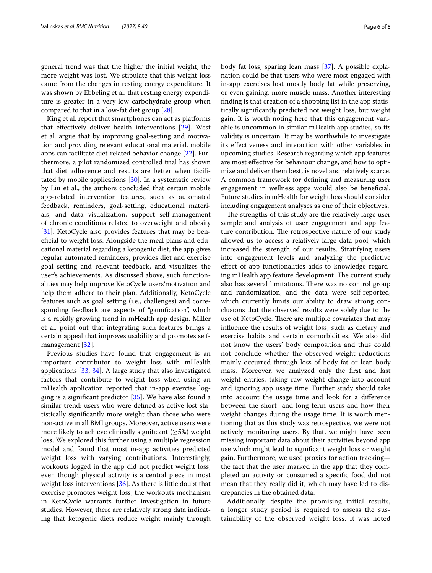general trend was that the higher the initial weight, the more weight was lost. We stipulate that this weight loss came from the changes in resting energy expenditure. It was shown by Ebbeling et al. that resting energy expenditure is greater in a very-low carbohydrate group when compared to that in a low-fat diet group [\[28](#page-7-11)].

King et al. report that smartphones can act as platforms that efectively deliver health interventions [\[29](#page-7-12)]. West et al. argue that by improving goal-setting and motivation and providing relevant educational material, mobile apps can facilitate diet-related behavior change [\[22](#page-7-5)]. Furthermore, a pilot randomized controlled trial has shown that diet adherence and results are better when facilitated by mobile applications [[30\]](#page-7-13). In a systematic review by Liu et al., the authors concluded that certain mobile app-related intervention features, such as automated feedback, reminders, goal-setting, educational materials, and data visualization, support self-management of chronic conditions related to overweight and obesity [[31\]](#page-7-14). KetoCycle also provides features that may be benefcial to weight loss. Alongside the meal plans and educational material regarding a ketogenic diet, the app gives regular automated reminders, provides diet and exercise goal setting and relevant feedback, and visualizes the user's achievements. As discussed above, such functionalities may help improve KetoCycle users'motivation and help them adhere to their plan. Additionally, KetoCycle features such as goal setting (i.e., challenges) and corresponding feedback are aspects of "gamifcation", which is a rapidly growing trend in mHealth app design. Miller et al. point out that integrating such features brings a certain appeal that improves usability and promotes selfmanagement [\[32](#page-7-15)].

Previous studies have found that engagement is an important contributor to weight loss with mHealth applications [\[33,](#page-7-16) [34](#page-7-17)]. A large study that also investigated factors that contribute to weight loss when using an mHealth application reported that in-app exercise logging is a signifcant predictor [[35](#page-7-18)]. We have also found a similar trend: users who were defned as active lost statistically signifcantly more weight than those who were non-active in all BMI groups. Moreover, active users were more likely to achieve clinically significant  $(\geq 5\%)$  weight loss. We explored this further using a multiple regression model and found that most in-app activities predicted weight loss with varying contributions. Interestingly, workouts logged in the app did not predict weight loss, even though physical activity is a central piece in most weight loss interventions [[36\]](#page-7-19). As there is little doubt that exercise promotes weight loss, the workouts mechanism in KetoCycle warrants further investigation in future studies. However, there are relatively strong data indicating that ketogenic diets reduce weight mainly through body fat loss, sparing lean mass [\[37\]](#page-7-20). A possible explanation could be that users who were most engaged with in-app exercises lost mostly body fat while preserving, or even gaining, more muscle mass. Another interesting fnding is that creation of a shopping list in the app statistically signifcantly predicted not weight loss, but weight gain. It is worth noting here that this engagement variable is uncommon in similar mHealth app studies, so its validity is uncertain. It may be worthwhile to investigate its efectiveness and interaction with other variables in upcoming studies. Research regarding which app features are most efective for behaviour change, and how to optimize and deliver them best, is novel and relatively scarce. A common framework for defning and measuring user engagement in wellness apps would also be benefcial. Future studies in mHealth for weight loss should consider including engagement analyses as one of their objectives.

The strengths of this study are the relatively large user sample and analysis of user engagement and app feature contribution. The retrospective nature of our study allowed us to access a relatively large data pool, which increased the strength of our results. Stratifying users into engagement levels and analyzing the predictive efect of app functionalities adds to knowledge regarding mHealth app feature development. The current study also has several limitations. There was no control group and randomization, and the data were self-reported, which currently limits our ability to draw strong conclusions that the observed results were solely due to the use of KetoCycle. There are multiple covariates that may infuence the results of weight loss, such as dietary and exercise habits and certain comorbidities. We also did not know the users' body composition and thus could not conclude whether the observed weight reductions mainly occurred through loss of body fat or lean body mass. Moreover, we analyzed only the frst and last weight entries, taking raw weight change into account and ignoring app usage time. Further study should take into account the usage time and look for a diference between the short- and long-term users and how their weight changes during the usage time. It is worth mentioning that as this study was retrospective, we were not actively monitoring users. By that, we might have been missing important data about their activities beyond app use which might lead to signifcant weight loss or weight gain. Furthermore, we used proxies for action tracking the fact that the user marked in the app that they completed an activity or consumed a specifc food did not mean that they really did it, which may have led to discrepancies in the obtained data.

Additionally, despite the promising initial results, a longer study period is required to assess the sustainability of the observed weight loss. It was noted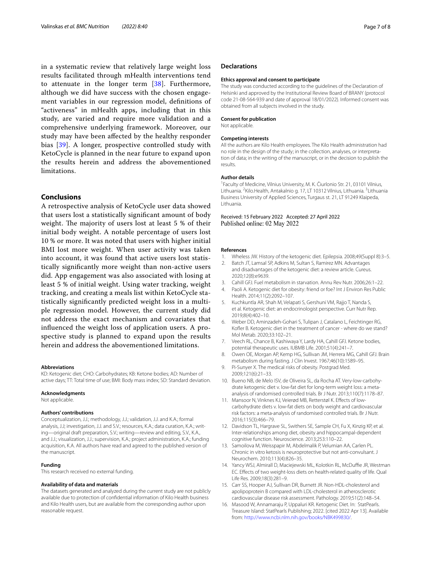in a systematic review that relatively large weight loss results facilitated through mHealth interventions tend to attenuate in the longer term [[38\]](#page-7-21). Furthermore, although we did have success with the chosen engagement variables in our regression model, defnitions of "activeness" in mHealth apps, including that in this study, are varied and require more validation and a comprehensive underlying framework. Moreover, our study may have been afected by the healthy responder bias [[39\]](#page-7-22). A longer, prospective controlled study with KetoCycle is planned in the near future to expand upon the results herein and address the abovementioned limitations.

#### **Conclusions**

A retrospective analysis of KetoCycle user data showed that users lost a statistically signifcant amount of body weight. The majority of users lost at least 5 % of their initial body weight. A notable percentage of users lost 10 % or more. It was noted that users with higher initial BMI lost more weight. When user activity was taken into account, it was found that active users lost statistically signifcantly more weight than non-active users did. App engagement was also associated with losing at least 5 % of initial weight. Using water tracking, weight tracking, and creating a meals list within KetoCycle statistically signifcantly predicted weight loss in a multiple regression model. However, the current study did not address the exact mechanism and covariates that infuenced the weight loss of application users. A prospective study is planned to expand upon the results herein and address the abovementioned limitations.

#### **Abbreviations**

KD: Ketogenic diet; CHO: Carbohydrates; KB: Ketone bodies; AD: Number of active days; TT: Total time of use; BMI: Body mass index; SD: Standard deviation.

#### **Acknowledgments**

Not applicable.

#### **Authors' contributions**

Conceptualization, J.J.; methodology, J.J.; validation, J.J. and K.A.; formal analysis, J.J; investigation, J.J. and S.V.; resources, K.A.; data curation, K.A.; writing—original draft preparation, S.V.; writing—review and editing, S.V., K.A., and J.J.; visualization, J.J.; supervision, K.A.; project administration, K.A.; funding acquisition, K.A. All authors have read and agreed to the published version of the manuscript.

#### **Funding**

This research received no external funding.

#### **Availability of data and materials**

The datasets generated and analyzed during the current study are not publicly available due to protection of confdential information of Kilo Health business and Kilo Health users, but are available from the corresponding author upon reasonable request.

#### **Declarations**

#### **Ethics approval and consent to participate**

The study was conducted according to the guidelines of the Declaration of Helsinki and approved by the Institutional Review Board of BRANY (protocol code 21-08-564-939 and date of approval 18/01/2022). Informed consent was obtained from all subjects involved in the study.

#### **Consent for publication**

Not applicable.

#### **Competing interests**

All the authors are Kilo Health employees. The Kilo Health administration had no role in the design of the study; in the collection, analyses, or interpretation of data; in the writing of the manuscript, or in the decision to publish the results.

#### **Author details**

<sup>1</sup> Faculty of Medicine, Vilnius University, M. K. Čiurlonio Str. 21, 03101 Vilnius, Lithuania. <sup>2</sup> Kilo. Health, Antakalnio g. 17, LT 10312 Vilnius, Lithuania. <sup>3</sup> Lithuania Business University of Applied Sciences, Turgaus st. 21, LT 91249 Klaipeda, Lithuania.

Received: 15 February 2022 Accepted: 27 April 2022 Published online: 02 May 2022

#### **References**

- <span id="page-6-0"></span>1. Wheless JW. History of the ketogenic diet. Epilepsia. 2008;49(Suppl 8):3–5.
- <span id="page-6-1"></span>2. Batch JT, Lamsal SP, Adkins M, Sultan S, Ramirez MN. Advantages and disadvantages of the ketogenic diet: a review article. Cureus. 2020;12(8):e9639.
- <span id="page-6-2"></span>3. Cahill GFJ. Fuel metabolism in starvation. Annu Rev Nutr. 2006;26:1–22.
- <span id="page-6-3"></span>Paoli A. Ketogenic diet for obesity: friend or foe? Int J Environ Res Public Health. 2014;11(2):2092–107.
- <span id="page-6-4"></span>5. Kuchkuntla AR, Shah M, Velapati S, Gershuni VM, Rajjo T, Nanda S, et al. Ketogenic diet: an endocrinologist perspective. Curr Nutr Rep. 2019;8(4):402–10.
- <span id="page-6-5"></span>6. Weber DD, Aminzadeh-Gohari S, Tulipan J, Catalano L, Feichtinger RG, Kofler B. Ketogenic diet in the treatment of cancer - where do we stand? Mol Metab. 2020;33:102–21.
- <span id="page-6-6"></span>7. Veech RL, Chance B, Kashiwaya Y, Lardy HA, Cahill GFJ. Ketone bodies, potential therapeutic uses. IUBMB Life. 2001;51(4):241–7.
- <span id="page-6-7"></span>8. Owen OE, Morgan AP, Kemp HG, Sullivan JM, Herrera MG, Cahill GFJ. Brain metabolism during fasting. J Clin Invest. 1967;46(10):1589–95.
- <span id="page-6-8"></span>9. Pi-Sunyer X. The medical risks of obesity. Postgrad Med. 2009;121(6):21–33.
- <span id="page-6-9"></span>10. Bueno NB, de Melo ISV, de Oliveira SL, da Rocha AT. Very-low-carbohydrate ketogenic diet v. low-fat diet for long-term weight loss: a metaanalysis of randomised controlled trials. Br J Nutr. 2013;110(7):1178–87.
- <span id="page-6-10"></span>11. Mansoor N, Vinknes KJ, Veierød MB, Retterstøl K. Efects of lowcarbohydrate diets v. low-fat diets on body weight and cardiovascular risk factors: a meta-analysis of randomised controlled trials. Br J Nutr. 2016;115(3):466–79.
- <span id="page-6-11"></span>12. Davidson TL, Hargrave SL, Swithers SE, Sample CH, Fu X, Kinzig KP, et al. Inter-relationships among diet, obesity and hippocampal-dependent cognitive function. Neuroscience. 2013;253:110–22.
- 13. Samoilova M, Weisspapir M, Abdelmalik P, Velumian AA, Carlen PL. Chronic in vitro ketosis is neuroprotective but not anti-convulsant. J Neurochem. 2010;113(4):826–35.
- <span id="page-6-12"></span>14. Yancy WSJ, Almirall D, Maciejewski ML, Kolotkin RL, McDuffie JR, Westman EC. Efects of two weight-loss diets on health-related quality of life. Qual Life Res. 2009;18(3):281–9.
- <span id="page-6-13"></span>15. Carr SS, Hooper AJ, Sullivan DR, Burnett JR. Non-HDL-cholesterol and apolipoprotein B compared with LDL-cholesterol in atherosclerotic cardiovascular disease risk assessment. Pathology. 2019;51(2):148–54.
- <span id="page-6-14"></span>16. Masood W, Annamaraju P, Uppaluri KR. Ketogenic Diet. In: StatPearls. Treasure Island: StatPearls Publishing; 2022. [cited 2022 Apr 13]. Available from: [http://www.ncbi.nlm.nih.gov/books/NBK499830/.](http://www.ncbi.nlm.nih.gov/books/NBK499830/)